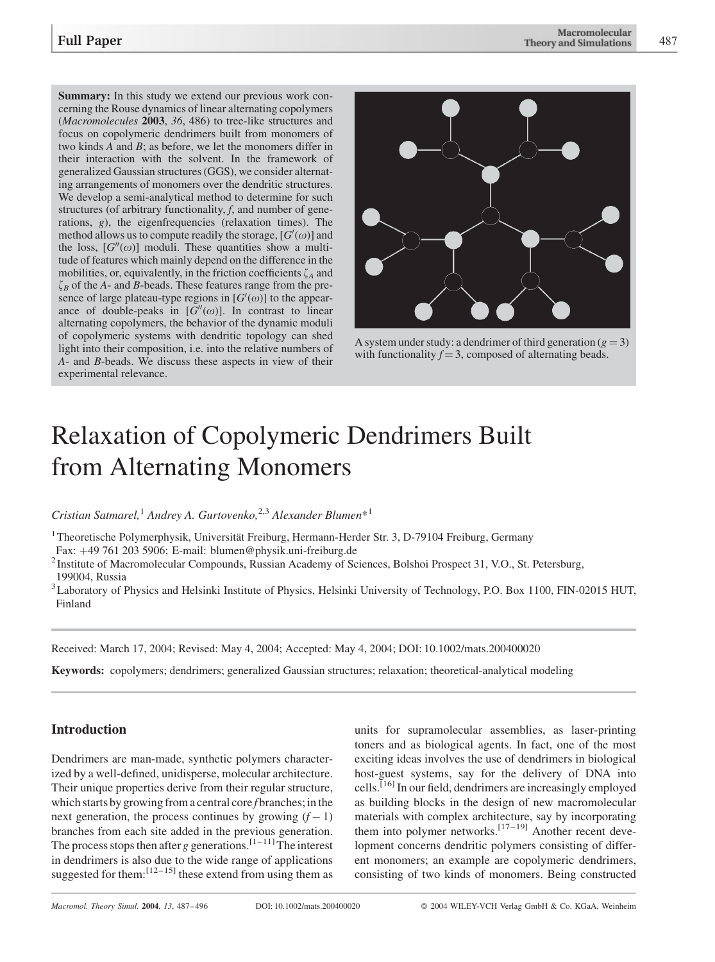Summary: In this study we extend our previous work concerning the Rouse dynamics of linear alternating copolymers (Macromolecules 2003, 36, 486) to tree-like structures and focus on copolymeric dendrimers built from monomers of two kinds A and B; as before, we let the monomers differ in their interaction with the solvent. In the framework of generalized Gaussian structures (GGS), we consider alternating arrangements of monomers over the dendritic structures. We develop a semi-analytical method to determine for such structures (of arbitrary functionality,  $f$ , and number of generations, g), the eigenfrequencies (relaxation times). The method allows us to compute readily the storage,  $[G'(\omega)]$  and the loss,  $[G''(\omega)]$  moduli. These quantities show a multitude of features which mainly depend on the difference in the mobilities, or, equivalently, in the friction coefficients  $\zeta_A$  and  $\zeta_B$  of the A- and B-beads. These features range from the presence of large plateau-type regions in  $[G'(\omega)]$  to the appearance of double-peaks in  $[G''(\omega)]$ . In contrast to linear alternating copolymers, the behavior of the dynamic moduli of copolymeric systems with dendritic topology can shed light into their composition, i.e. into the relative numbers of A- and B-beads. We discuss these aspects in view of their experimental relevance.



A system under study: a dendrimer of third generation ( $g = 3$ ) with functionality  $f = 3$ , composed of alternating beads.

# Relaxation of Copolymeric Dendrimers Built from Alternating Monomers

Cristian Satmarel,<sup>1</sup> Andrey A. Gurtovenko,<sup>2,3</sup> Alexander Blumen\*<sup>1</sup>

<sup>1</sup> Theoretische Polymerphysik, Universität Freiburg, Hermann-Herder Str. 3, D-79104 Freiburg, Germany

Fax:  $+497612035906$ ; E-mail: blumen@physik.uni-freiburg.de

<sup>2</sup> Institute of Macromolecular Compounds, Russian Academy of Sciences, Bolshoi Prospect 31, V.O., St. Petersburg, 199004, Russia

<sup>3</sup> Laboratory of Physics and Helsinki Institute of Physics, Helsinki University of Technology, P.O. Box 1100, FIN-02015 HUT, Finland

Received: March 17, 2004; Revised: May 4, 2004; Accepted: May 4, 2004; DOI: 10.1002/mats.200400020

Keywords: copolymers; dendrimers; generalized Gaussian structures; relaxation; theoretical-analytical modeling

## Introduction

Dendrimers are man-made, synthetic polymers characterized by a well-defined, unidisperse, molecular architecture. Their unique properties derive from their regular structure, which starts by growing from a central core f branches; in the next generation, the process continues by growing  $(f - 1)$ branches from each site added in the previous generation. The process stops then after g generations.<sup>[1–11]</sup>The interest in dendrimers is also due to the wide range of applications suggested for them:  $\left[12-15\right]$  these extend from using them as

units for supramolecular assemblies, as laser-printing toners and as biological agents. In fact, one of the most exciting ideas involves the use of dendrimers in biological host-guest systems, say for the delivery of DNA into cells.<sup>[16]</sup> In our field, dendrimers are increasingly employed as building blocks in the design of new macromolecular materials with complex architecture, say by incorporating them into polymer networks.<sup>[17–19]</sup> Another recent development concerns dendritic polymers consisting of different monomers; an example are copolymeric dendrimers, consisting of two kinds of monomers. Being constructed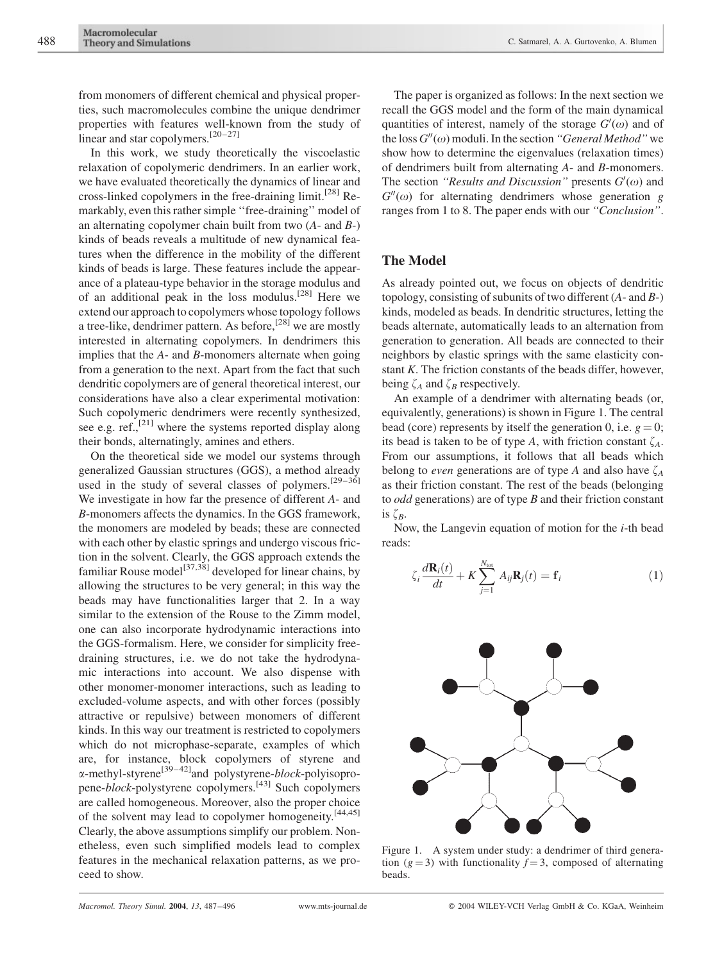from monomers of different chemical and physical properties, such macromolecules combine the unique dendrimer properties with features well-known from the study of linear and star copolymers.<sup>[20–27]</sup>

In this work, we study theoretically the viscoelastic relaxation of copolymeric dendrimers. In an earlier work, we have evaluated theoretically the dynamics of linear and cross-linked copolymers in the free-draining limit.[28] Remarkably, even this rather simple ''free-draining'' model of an alternating copolymer chain built from two  $(A-$  and  $B-)$ kinds of beads reveals a multitude of new dynamical features when the difference in the mobility of the different kinds of beads is large. These features include the appearance of a plateau-type behavior in the storage modulus and of an additional peak in the loss modulus.[28] Here we extend our approach to copolymers whose topology follows a tree-like, dendrimer pattern. As before,[28] we are mostly interested in alternating copolymers. In dendrimers this implies that the A- and B-monomers alternate when going from a generation to the next. Apart from the fact that such dendritic copolymers are of general theoretical interest, our considerations have also a clear experimental motivation: Such copolymeric dendrimers were recently synthesized, see e.g. ref.,<sup>[21]</sup> where the systems reported display along their bonds, alternatingly, amines and ethers.

On the theoretical side we model our systems through generalized Gaussian structures (GGS), a method already used in the study of several classes of polymers.<sup>[29–36]</sup> We investigate in how far the presence of different A- and B-monomers affects the dynamics. In the GGS framework, the monomers are modeled by beads; these are connected with each other by elastic springs and undergo viscous friction in the solvent. Clearly, the GGS approach extends the familiar Rouse model<sup>[37,38]</sup> developed for linear chains, by allowing the structures to be very general; in this way the beads may have functionalities larger that 2. In a way similar to the extension of the Rouse to the Zimm model, one can also incorporate hydrodynamic interactions into the GGS-formalism. Here, we consider for simplicity freedraining structures, i.e. we do not take the hydrodynamic interactions into account. We also dispense with other monomer-monomer interactions, such as leading to excluded-volume aspects, and with other forces (possibly attractive or repulsive) between monomers of different kinds. In this way our treatment is restricted to copolymers which do not microphase-separate, examples of which are, for instance, block copolymers of styrene and  $\alpha$ -methyl-styrene<sup>[39–42]</sup>and polystyrene-*block*-polyisopropene-block-polystyrene copolymers.[43] Such copolymers are called homogeneous. Moreover, also the proper choice of the solvent may lead to copolymer homogeneity.<sup>[44,45]</sup> Clearly, the above assumptions simplify our problem. Nonetheless, even such simplified models lead to complex features in the mechanical relaxation patterns, as we proceed to show.

The paper is organized as follows: In the next section we recall the GGS model and the form of the main dynamical quantities of interest, namely of the storage  $G'(\omega)$  and of the loss  $G''(\omega)$  moduli. In the section "General Method" we show how to determine the eigenvalues (relaxation times) of dendrimers built from alternating A- and B-monomers. The section "Results and Discussion" presents  $G'(\omega)$  and  $G''(\omega)$  for alternating dendrimers whose generation g ranges from 1 to 8. The paper ends with our ''Conclusion''.

## The Model

As already pointed out, we focus on objects of dendritic topology, consisting of subunits of two different  $(A-$  and  $B-)$ kinds, modeled as beads. In dendritic structures, letting the beads alternate, automatically leads to an alternation from generation to generation. All beads are connected to their neighbors by elastic springs with the same elasticity constant K. The friction constants of the beads differ, however, being  $\zeta_A$  and  $\zeta_B$  respectively.

An example of a dendrimer with alternating beads (or, equivalently, generations) is shown in Figure 1. The central bead (core) represents by itself the generation 0, i.e.  $g = 0$ ; its bead is taken to be of type A, with friction constant  $\zeta_A$ . From our assumptions, it follows that all beads which belong to *even* generations are of type A and also have  $\zeta_A$ as their friction constant. The rest of the beads (belonging to *odd* generations) are of type  $B$  and their friction constant is  $\zeta_B$ .

Now, the Langevin equation of motion for the  $i$ -th bead reads:

$$
\zeta_i \frac{d\mathbf{R}_i(t)}{dt} + K \sum_{j=1}^{N_{\text{tot}}} A_{ij} \mathbf{R}_j(t) = \mathbf{f}_i
$$
 (1)



Figure 1. A system under study: a dendrimer of third generation ( $g = 3$ ) with functionality  $f = 3$ , composed of alternating beads.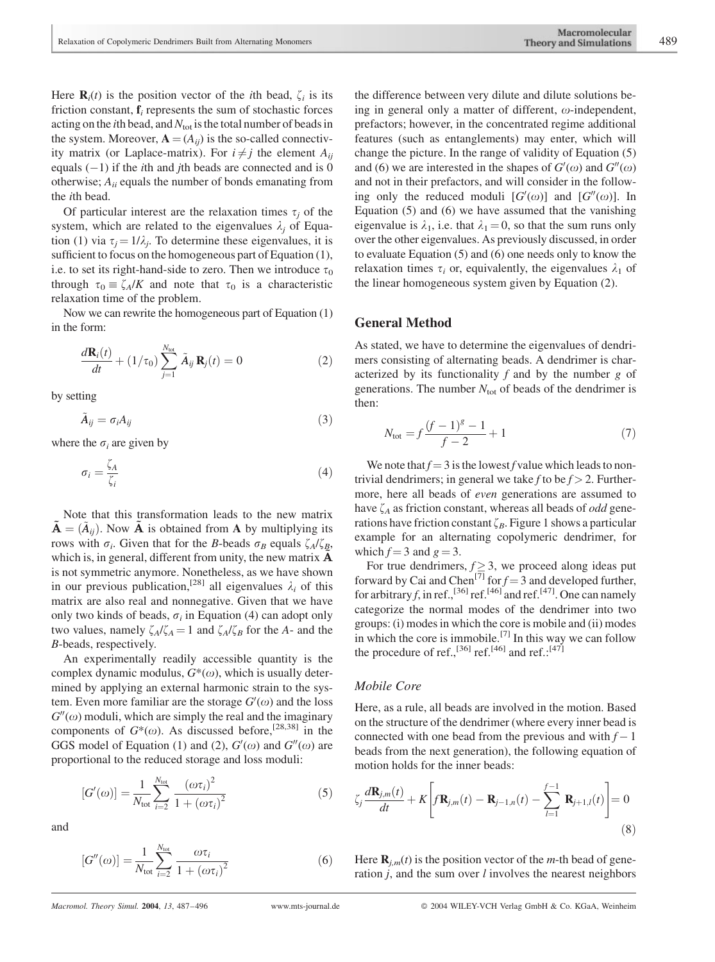Here  $\mathbf{R}_i(t)$  is the position vector of the *i*th bead,  $\zeta_i$  is its friction constant,  $f_i$  represents the sum of stochastic forces acting on the *i*th bead, and  $N_{\text{tot}}$  is the total number of beads in the system. Moreover,  $\mathbf{A} = (A_{ij})$  is the so-called connectivity matrix (or Laplace-matrix). For  $i \neq j$  the element  $A_{ii}$ equals  $(-1)$  if the *i*th and *j*th beads are connected and is 0 otherwise;  $A_{ii}$  equals the number of bonds emanating from the ith bead.

Of particular interest are the relaxation times  $\tau_i$  of the system, which are related to the eigenvalues  $\lambda_i$  of Equation (1) via  $\tau_i = 1/\lambda_i$ . To determine these eigenvalues, it is sufficient to focus on the homogeneous part of Equation (1), i.e. to set its right-hand-side to zero. Then we introduce  $\tau_0$ through  $\tau_0 \equiv \zeta_A/K$  and note that  $\tau_0$  is a characteristic relaxation time of the problem.

Now we can rewrite the homogeneous part of Equation (1) in the form:

$$
\frac{d\mathbf{R}_i(t)}{dt} + (1/\tau_0) \sum_{j=1}^{N_{\text{tot}}} \tilde{A}_{ij} \mathbf{R}_j(t) = 0
$$
\n(2)

by setting

$$
\tilde{A}_{ij} = \sigma_i A_{ij} \tag{3}
$$

where the  $\sigma_i$  are given by

$$
\sigma_i = \frac{\zeta_A}{\zeta_i} \tag{4}
$$

Note that this transformation leads to the new matrix  ${\bf A} = (A_{ij})$ . Now  ${\bf A}$  is obtained from A by multiplying its rows with  $\sigma_i$ . Given that for the B-beads  $\sigma_B$  equals  $\zeta_A/\zeta_B$ , which is, in general, different from unity, the new matrix  $\bf{A}$ is not symmetric anymore. Nonetheless, as we have shown in our previous publication,<sup>[28]</sup> all eigenvalues  $\lambda_i$  of this matrix are also real and nonnegative. Given that we have only two kinds of beads,  $\sigma_i$  in Equation (4) can adopt only two values, namely  $\zeta_A/\zeta_A = 1$  and  $\zeta_A/\zeta_B$  for the A- and the B-beads, respectively.

An experimentally readily accessible quantity is the complex dynamic modulus,  $G^*(\omega)$ , which is usually determined by applying an external harmonic strain to the system. Even more familiar are the storage  $G'(\omega)$  and the loss  $G''(\omega)$  moduli, which are simply the real and the imaginary components of  $G^*(\omega)$ . As discussed before,<sup>[28,38]</sup> in the GGS model of Equation (1) and (2),  $G'(\omega)$  and  $G''(\omega)$  are proportional to the reduced storage and loss moduli:

$$
[G'(\omega)] = \frac{1}{N_{\text{tot}}} \sum_{i=2}^{N_{\text{tot}}} \frac{(\omega \tau_i)^2}{1 + (\omega \tau_i)^2}
$$
(5)

and

$$
[G''(\omega)] = \frac{1}{N_{\text{tot}}} \sum_{i=2}^{N_{\text{tot}}} \frac{\omega \tau_i}{1 + (\omega \tau_i)^2}
$$
(6)

the difference between very dilute and dilute solutions being in general only a matter of different,  $\omega$ -independent, prefactors; however, in the concentrated regime additional features (such as entanglements) may enter, which will change the picture. In the range of validity of Equation (5) and (6) we are interested in the shapes of  $G'(\omega)$  and  $G''(\omega)$ and not in their prefactors, and will consider in the following only the reduced moduli  $[G'(\omega)]$  and  $[G''(\omega)]$ . In Equation (5) and (6) we have assumed that the vanishing eigenvalue is  $\lambda_1$ , i.e. that  $\lambda_1 = 0$ , so that the sum runs only over the other eigenvalues. As previously discussed, in order to evaluate Equation (5) and (6) one needs only to know the relaxation times  $\tau_i$  or, equivalently, the eigenvalues  $\lambda_1$  of the linear homogeneous system given by Equation (2).

#### General Method

As stated, we have to determine the eigenvalues of dendrimers consisting of alternating beads. A dendrimer is characterized by its functionality  $f$  and by the number  $g$  of generations. The number  $N_{\text{tot}}$  of beads of the dendrimer is then:

$$
N_{\text{tot}} = f \frac{(f-1)^{g} - 1}{f - 2} + 1 \tag{7}
$$

We note that  $f = 3$  is the lowest f value which leads to nontrivial dendrimers; in general we take f to be  $f > 2$ . Furthermore, here all beads of even generations are assumed to have  $\zeta_A$  as friction constant, whereas all beads of *odd* generations have friction constant  $\zeta_B$ . Figure 1 shows a particular example for an alternating copolymeric dendrimer, for which  $f = 3$  and  $g = 3$ .

For true dendrimers,  $f \geq 3$ , we proceed along ideas put forward by Cai and Chen<sup>[7]</sup> for  $f = 3$  and developed further, for arbitrary f, in ref.,<sup>[36]</sup> ref.<sup>[46]</sup> and ref.<sup>[47]</sup>. One can namely categorize the normal modes of the dendrimer into two groups: (i) modes in which the core is mobile and (ii) modes in which the core is immobile.<sup>[7]</sup> In this way we can follow the procedure of ref.,<sup>[36]</sup> ref.<sup>[46]</sup> and ref.:<sup>[47]</sup>

#### Mobile Core

Here, as a rule, all beads are involved in the motion. Based on the structure of the dendrimer (where every inner bead is connected with one bead from the previous and with  $f - 1$ beads from the next generation), the following equation of motion holds for the inner beads:

$$
\zeta_j \frac{d\mathbf{R}_{j,m}(t)}{dt} + K \left[ f \mathbf{R}_{j,m}(t) - \mathbf{R}_{j-1,n}(t) - \sum_{l=1}^{f-1} \mathbf{R}_{j+1,l}(t) \right] = 0
$$
\n(8)

Here  $\mathbf{R}_{i,m}(t)$  is the position vector of the *m*-th bead of generation  $j$ , and the sum over  $l$  involves the nearest neighbors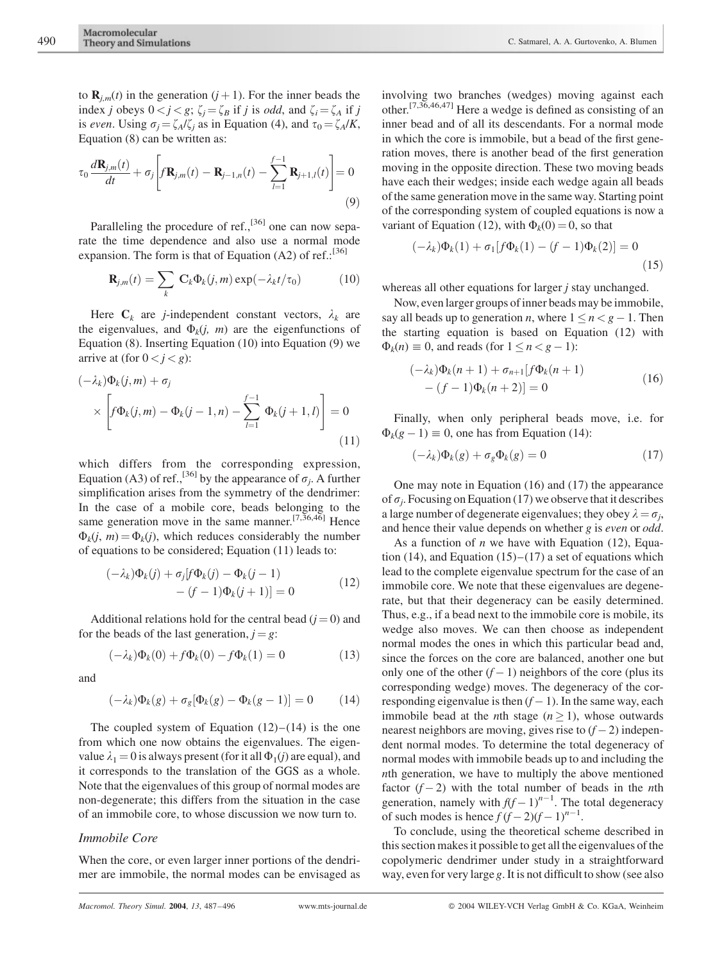to  $\mathbf{R}_{i,m}(t)$  in the generation  $(j + 1)$ . For the inner beads the index j obeys  $0 < j < g$ ;  $\zeta_j = \zeta_B$  if j is *odd*, and  $\zeta_i = \zeta_A$  if j is even. Using  $\sigma_i = \zeta_A/\zeta_i$  as in Equation (4), and  $\tau_0 = \zeta_A/K$ , Equation (8) can be written as:

$$
\tau_0 \frac{d\mathbf{R}_{j,m}(t)}{dt} + \sigma_j \left[ f \mathbf{R}_{j,m}(t) - \mathbf{R}_{j-1,n}(t) - \sum_{l=1}^{f-1} \mathbf{R}_{j+1,l}(t) \right] = 0
$$
\n(9)

Paralleling the procedure of ref., $[36]$  one can now separate the time dependence and also use a normal mode expansion. The form is that of Equation (A2) of ref.:<sup>[36]</sup>

$$
\mathbf{R}_{j,m}(t) = \sum_{k} \mathbf{C}_{k} \Phi_{k}(j,m) \exp(-\lambda_{k} t/\tau_{0})
$$
 (10)

Here  $C_k$  are *j*-independent constant vectors,  $\lambda_k$  are the eigenvalues, and  $\Phi_k(j, m)$  are the eigenfunctions of Equation (8). Inserting Equation (10) into Equation (9) we arrive at (for  $0 < j < g$ ):

$$
(-\lambda_k)\Phi_k(j,m) + \sigma_j
$$
  
 
$$
\times \left[ f\Phi_k(j,m) - \Phi_k(j-1,n) - \sum_{l=1}^{f-1} \Phi_k(j+1,l) \right] = 0
$$
 (11)

which differs from the corresponding expression, Equation (A3) of ref.,<sup>[36]</sup> by the appearance of  $\sigma_j$ . A further simplification arises from the symmetry of the dendrimer: In the case of a mobile core, beads belonging to the same generation move in the same manner.<sup>[7,36,46]</sup> Hence  $\Phi_k(i, m) = \Phi_k(i)$ , which reduces considerably the number of equations to be considered; Equation (11) leads to:

$$
(-\lambda_k)\Phi_k(j) + \sigma_j[f\Phi_k(j) - \Phi_k(j-1) - (f-1)\Phi_k(j+1)] = 0
$$
\n(12)

Additional relations hold for the central bead  $(j = 0)$  and for the beads of the last generation,  $j = g$ :

$$
(-\lambda_k)\Phi_k(0) + f\Phi_k(0) - f\Phi_k(1) = 0 \tag{13}
$$

and

$$
(-\lambda_k)\Phi_k(g) + \sigma_g[\Phi_k(g) - \Phi_k(g-1)] = 0 \qquad (14)
$$

The coupled system of Equation  $(12)$ – $(14)$  is the one from which one now obtains the eigenvalues. The eigenvalue  $\lambda_1 = 0$  is always present (for it all  $\Phi_1(j)$  are equal), and it corresponds to the translation of the GGS as a whole. Note that the eigenvalues of this group of normal modes are non-degenerate; this differs from the situation in the case of an immobile core, to whose discussion we now turn to.

#### Immobile Core

When the core, or even larger inner portions of the dendrimer are immobile, the normal modes can be envisaged as involving two branches (wedges) moving against each other.[7,36,46,47] Here a wedge is defined as consisting of an inner bead and of all its descendants. For a normal mode in which the core is immobile, but a bead of the first generation moves, there is another bead of the first generation moving in the opposite direction. These two moving beads have each their wedges; inside each wedge again all beads of the same generation move in the same way. Starting point of the corresponding system of coupled equations is now a variant of Equation (12), with  $\Phi_k(0) = 0$ , so that

$$
(-\lambda_k)\Phi_k(1) + \sigma_1[f\Phi_k(1) - (f-1)\Phi_k(2)] = 0
$$
\n(15)

whereas all other equations for larger *j* stay unchanged.

Now, even larger groups of inner beads may be immobile, say all beads up to generation *n*, where  $1 \le n \le g - 1$ . Then the starting equation is based on Equation (12) with  $\Phi_k(n) \equiv 0$ , and reads (for  $1 \le n \le g - 1$ ):

$$
(-\lambda_k)\Phi_k(n+1) + \sigma_{n+1}[f\Phi_k(n+1) - (f-1)\Phi_k(n+2)] = 0
$$
\n(16)

Finally, when only peripheral beads move, i.e. for  $\Phi_k(g - 1) \equiv 0$ , one has from Equation (14):

$$
(-\lambda_k)\Phi_k(g) + \sigma_g \Phi_k(g) = 0 \tag{17}
$$

One may note in Equation (16) and (17) the appearance of  $\sigma_i$ . Focusing on Equation (17) we observe that it describes a large number of degenerate eigenvalues; they obey  $\lambda = \sigma_i$ , and hence their value depends on whether g is *even* or *odd*.

As a function of  $n$  we have with Equation (12), Equation  $(14)$ , and Equation  $(15)$ – $(17)$  a set of equations which lead to the complete eigenvalue spectrum for the case of an immobile core. We note that these eigenvalues are degenerate, but that their degeneracy can be easily determined. Thus, e.g., if a bead next to the immobile core is mobile, its wedge also moves. We can then choose as independent normal modes the ones in which this particular bead and, since the forces on the core are balanced, another one but only one of the other  $(f - 1)$  neighbors of the core (plus its corresponding wedge) moves. The degeneracy of the corresponding eigenvalue is then  $(f - 1)$ . In the same way, each immobile bead at the *n*th stage ( $n \ge 1$ ), whose outwards nearest neighbors are moving, gives rise to  $(f - 2)$  independent normal modes. To determine the total degeneracy of normal modes with immobile beads up to and including the nth generation, we have to multiply the above mentioned factor  $(f - 2)$  with the total number of beads in the *n*th generation, namely with  $f(f-1)^{n-1}$ . The total degeneracy of such modes is hence  $f (f - 2)(f - 1)^{n-1}$ .

To conclude, using the theoretical scheme described in this section makes it possible to get all the eigenvalues of the copolymeric dendrimer under study in a straightforward way, even for very large g. It is not difficult to show (see also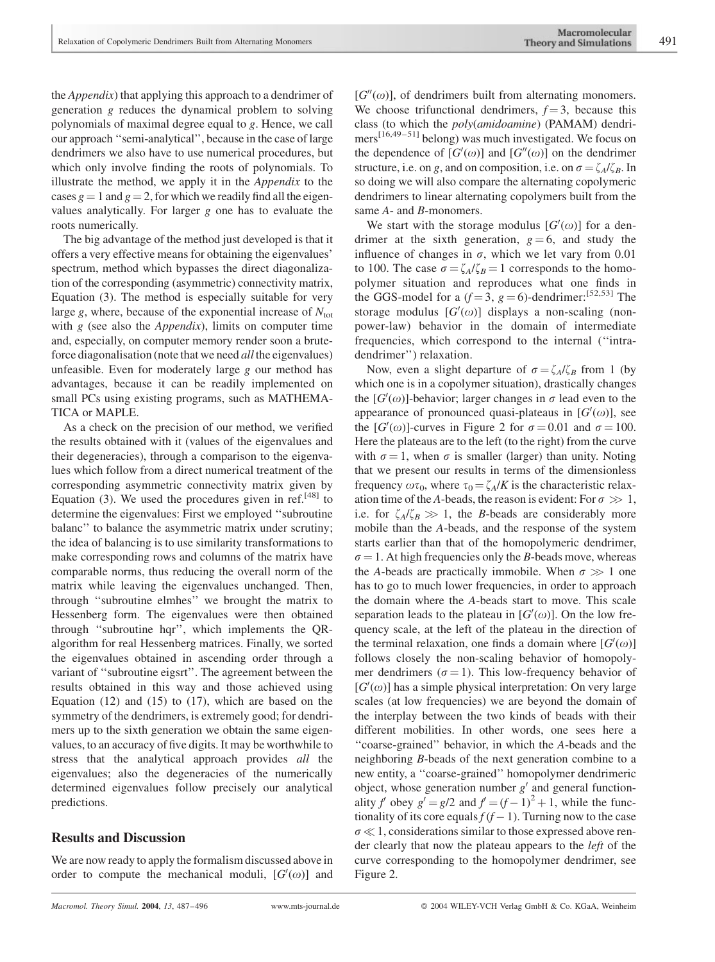the Appendix) that applying this approach to a dendrimer of generation g reduces the dynamical problem to solving polynomials of maximal degree equal to g. Hence, we call our approach ''semi-analytical'', because in the case of large dendrimers we also have to use numerical procedures, but which only involve finding the roots of polynomials. To illustrate the method, we apply it in the Appendix to the cases  $g = 1$  and  $g = 2$ , for which we readily find all the eigenvalues analytically. For larger g one has to evaluate the roots numerically.

The big advantage of the method just developed is that it offers a very effective means for obtaining the eigenvalues' spectrum, method which bypasses the direct diagonalization of the corresponding (asymmetric) connectivity matrix, Equation (3). The method is especially suitable for very large g, where, because of the exponential increase of  $N_{\text{tot}}$ with  $g$  (see also the *Appendix*), limits on computer time and, especially, on computer memory render soon a bruteforce diagonalisation (note that we need all the eigenvalues) unfeasible. Even for moderately large  $g$  our method has advantages, because it can be readily implemented on small PCs using existing programs, such as MATHEMA-TICA or MAPLE.

As a check on the precision of our method, we verified the results obtained with it (values of the eigenvalues and their degeneracies), through a comparison to the eigenvalues which follow from a direct numerical treatment of the corresponding asymmetric connectivity matrix given by Equation (3). We used the procedures given in ref.<sup>[48]</sup> to determine the eigenvalues: First we employed ''subroutine balanc'' to balance the asymmetric matrix under scrutiny; the idea of balancing is to use similarity transformations to make corresponding rows and columns of the matrix have comparable norms, thus reducing the overall norm of the matrix while leaving the eigenvalues unchanged. Then, through ''subroutine elmhes'' we brought the matrix to Hessenberg form. The eigenvalues were then obtained through ''subroutine hqr'', which implements the QRalgorithm for real Hessenberg matrices. Finally, we sorted the eigenvalues obtained in ascending order through a variant of ''subroutine eigsrt''. The agreement between the results obtained in this way and those achieved using Equation (12) and (15) to (17), which are based on the symmetry of the dendrimers, is extremely good; for dendrimers up to the sixth generation we obtain the same eigenvalues, to an accuracy of five digits. It may be worthwhile to stress that the analytical approach provides all the eigenvalues; also the degeneracies of the numerically determined eigenvalues follow precisely our analytical predictions.

#### Results and Discussion

We are now ready to apply the formalism discussed above in order to compute the mechanical moduli,  $[G'(\omega)]$  and

 $[G''(\omega)]$ , of dendrimers built from alternating monomers. We choose trifunctional dendrimers,  $f = 3$ , because this class (to which the poly(amidoamine) (PAMAM) dendrimers[16,49–51] belong) was much investigated. We focus on the dependence of  $[G'(\omega)]$  and  $[G''(\omega)]$  on the dendrimer structure, i.e. on g, and on composition, i.e. on  $\sigma = \zeta_A/\zeta_B$ . In so doing we will also compare the alternating copolymeric dendrimers to linear alternating copolymers built from the same A- and B-monomers.

We start with the storage modulus  $[G'(\omega)]$  for a dendrimer at the sixth generation,  $g = 6$ , and study the influence of changes in  $\sigma$ , which we let vary from 0.01 to 100. The case  $\sigma = \zeta_A/\zeta_B = 1$  corresponds to the homopolymer situation and reproduces what one finds in the GGS-model for a  $(f=3, g=6)$ -dendrimer:<sup>[52,53]</sup> The storage modulus  $[G'(\omega)]$  displays a non-scaling (nonpower-law) behavior in the domain of intermediate frequencies, which correspond to the internal (''intradendrimer'') relaxation.

Now, even a slight departure of  $\sigma = \zeta_A/\zeta_B$  from 1 (by which one is in a copolymer situation), drastically changes the  $[G'(\omega)]$ -behavior; larger changes in  $\sigma$  lead even to the appearance of pronounced quasi-plateaus in  $[G'(\omega)]$ , see the  $[G'(\omega)]$ -curves in Figure 2 for  $\sigma = 0.01$  and  $\sigma = 100$ . Here the plateaus are to the left (to the right) from the curve with  $\sigma = 1$ , when  $\sigma$  is smaller (larger) than unity. Noting that we present our results in terms of the dimensionless frequency  $\omega\tau_0$ , where  $\tau_0 = \zeta_A/K$  is the characteristic relaxation time of the A-beads, the reason is evident: For  $\sigma \gg 1$ , i.e. for  $\zeta_A/\zeta_B \gg 1$ , the *B*-beads are considerably more mobile than the A-beads, and the response of the system starts earlier than that of the homopolymeric dendrimer,  $\sigma = 1$ . At high frequencies only the B-beads move, whereas the A-beads are practically immobile. When  $\sigma \gg 1$  one has to go to much lower frequencies, in order to approach the domain where the A-beads start to move. This scale separation leads to the plateau in  $[G'(\omega)]$ . On the low frequency scale, at the left of the plateau in the direction of the terminal relaxation, one finds a domain where  $[G'(\omega)]$ follows closely the non-scaling behavior of homopolymer dendrimers ( $\sigma = 1$ ). This low-frequency behavior of  $[G'(\omega)]$  has a simple physical interpretation: On very large scales (at low frequencies) we are beyond the domain of the interplay between the two kinds of beads with their different mobilities. In other words, one sees here a ''coarse-grained'' behavior, in which the A-beads and the neighboring B-beads of the next generation combine to a new entity, a ''coarse-grained'' homopolymer dendrimeric object, whose generation number  $g'$  and general functionality f obey  $g' = g/2$  and  $f = (f - 1)^2 + 1$ , while the functionality of its core equals  $f(f - 1)$ . Turning now to the case  $\sigma \ll 1$ , considerations similar to those expressed above render clearly that now the plateau appears to the left of the curve corresponding to the homopolymer dendrimer, see Figure 2.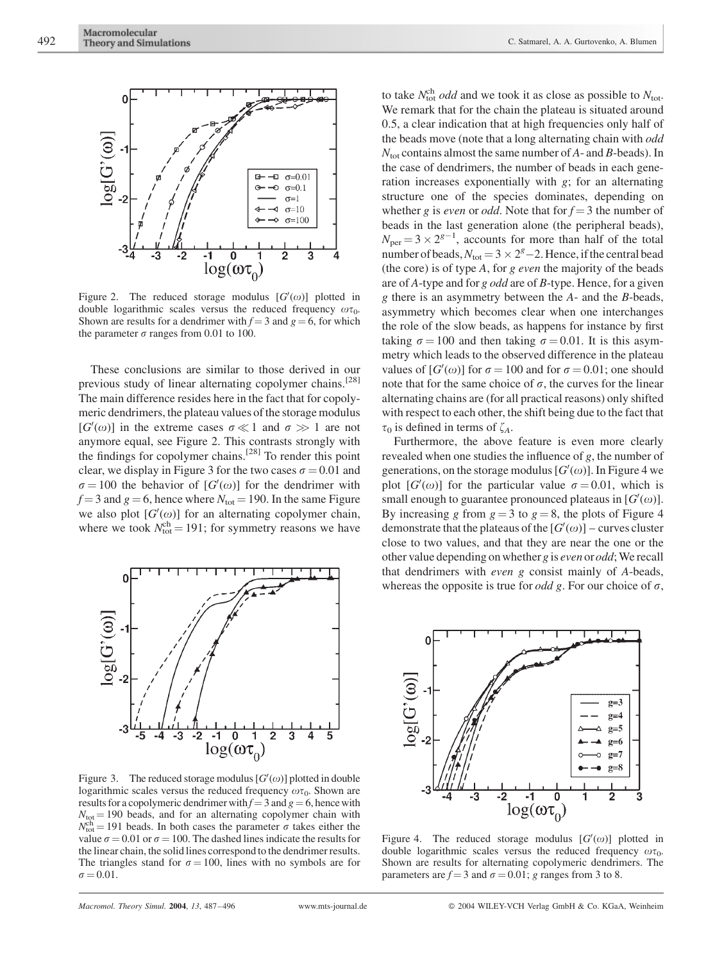

Figure 2. The reduced storage modulus  $[G'(\omega)]$  plotted in double logarithmic scales versus the reduced frequency  $\omega \tau_0$ . Shown are results for a dendrimer with  $f = 3$  and  $g = 6$ , for which the parameter  $\sigma$  ranges from 0.01 to 100.

These conclusions are similar to those derived in our previous study of linear alternating copolymer chains.<sup>[28]</sup> The main difference resides here in the fact that for copolymeric dendrimers, the plateau values of the storage modulus [ $G'(\omega)$ ] in the extreme cases  $\sigma \ll 1$  and  $\sigma \gg 1$  are not anymore equal, see Figure 2. This contrasts strongly with the findings for copolymer chains.<sup>[28]</sup> To render this point clear, we display in Figure 3 for the two cases  $\sigma = 0.01$  and  $\sigma = 100$  the behavior of  $[G'(\omega)]$  for the dendrimer with  $f = 3$  and  $g = 6$ , hence where  $N_{\text{tot}} = 190$ . In the same Figure we also plot  $[G'(\omega)]$  for an alternating copolymer chain, where we took  $N_{\text{tot}}^{\text{ch}} = 191$ ; for symmetry reasons we have



Figure 3. The reduced storage modulus  $[G'(\omega)]$  plotted in double logarithmic scales versus the reduced frequency  $\omega\tau_0$ . Shown are results for a copolymeric dendrimer with  $f = 3$  and  $g = 6$ , hence with  $N_{\text{tot}} = 190$  beads, and for an alternating copolymer chain with  $N_{\text{tot}}^{\text{ch}} = 191$  beads. In both cases the parameter  $\sigma$  takes either the value  $\sigma = 0.01$  or  $\sigma = 100$ . The dashed lines indicate the results for the linear chain, the solid lines correspond to the dendrimer results. The triangles stand for  $\sigma = 100$ , lines with no symbols are for  $\sigma = 0.01$ .

to take  $N_{\text{tot}}^{\text{ch}}$  *odd* and we took it as close as possible to  $N_{\text{tot}}$ . We remark that for the chain the plateau is situated around 0.5, a clear indication that at high frequencies only half of the beads move (note that a long alternating chain with odd  $N_{\text{tot}}$  contains almost the same number of A- and B-beads). In the case of dendrimers, the number of beads in each generation increases exponentially with g; for an alternating structure one of the species dominates, depending on whether g is *even* or *odd*. Note that for  $f = 3$  the number of beads in the last generation alone (the peripheral beads),  $N_{\text{per}} = 3 \times 2^{g-1}$ , accounts for more than half of the total number of beads,  $N_{\text{tot}} = 3 \times 2^g - 2$ . Hence, if the central bead (the core) is of type A, for g even the majority of the beads are of A-type and for g odd are of B-type. Hence, for a given g there is an asymmetry between the A- and the B-beads, asymmetry which becomes clear when one interchanges the role of the slow beads, as happens for instance by first taking  $\sigma = 100$  and then taking  $\sigma = 0.01$ . It is this asymmetry which leads to the observed difference in the plateau values of  $[G'(\omega)]$  for  $\sigma = 100$  and for  $\sigma = 0.01$ ; one should note that for the same choice of  $\sigma$ , the curves for the linear alternating chains are (for all practical reasons) only shifted with respect to each other, the shift being due to the fact that  $\tau_0$  is defined in terms of  $\zeta_A$ .

Furthermore, the above feature is even more clearly revealed when one studies the influence of g, the number of generations, on the storage modulus  $[G'(\omega)]$ . In Figure 4 we plot  $[G'(\omega)]$  for the particular value  $\sigma = 0.01$ , which is small enough to guarantee pronounced plateaus in  $[G'(\omega)]$ . By increasing g from  $g = 3$  to  $g = 8$ , the plots of Figure 4 demonstrate that the plateaus of the  $[G'(\omega)]$  – curves cluster close to two values, and that they are near the one or the other value depending on whether g is even or odd; We recall that dendrimers with even g consist mainly of A-beads, whereas the opposite is true for *odd g*. For our choice of  $\sigma$ ,



Figure 4. The reduced storage modulus  $[G'(\omega)]$  plotted in double logarithmic scales versus the reduced frequency  $\omega \tau_0$ . Shown are results for alternating copolymeric dendrimers. The parameters are  $f = 3$  and  $\sigma = 0.01$ ; g ranges from 3 to 8.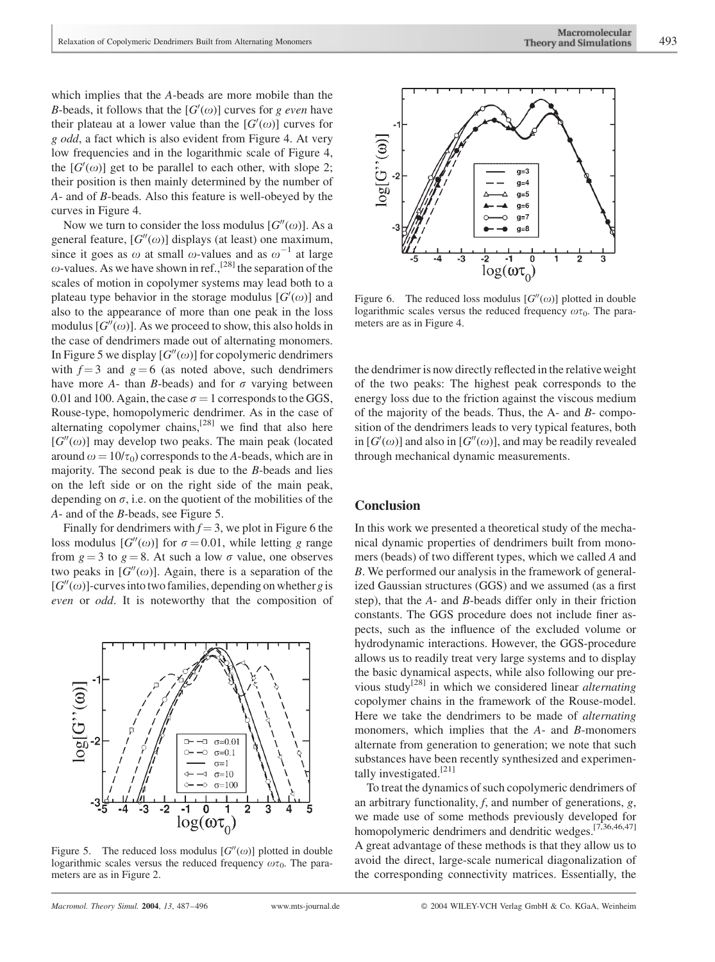which implies that the A-beads are more mobile than the B-beads, it follows that the  $[G'(\omega)]$  curves for g even have their plateau at a lower value than the  $[G'(\omega)]$  curves for g odd, a fact which is also evident from Figure 4. At very low frequencies and in the logarithmic scale of Figure 4, the  $[G'(\omega)]$  get to be parallel to each other, with slope 2; their position is then mainly determined by the number of A- and of B-beads. Also this feature is well-obeyed by the curves in Figure 4.

Now we turn to consider the loss modulus  $[G''(\omega)]$ . As a general feature,  $[G''(\omega)]$  displays (at least) one maximum, since it goes as  $\omega$  at small  $\omega$ -values and as  $\omega^{-1}$  at large  $\omega$ -values. As we have shown in ref.,<sup>[28]</sup> the separation of the scales of motion in copolymer systems may lead both to a plateau type behavior in the storage modulus  $[G'(\omega)]$  and also to the appearance of more than one peak in the loss modulus  $[G''(\omega)]$ . As we proceed to show, this also holds in the case of dendrimers made out of alternating monomers. In Figure 5 we display  $[G''(\omega)]$  for copolymeric dendrimers with  $f = 3$  and  $g = 6$  (as noted above, such dendrimers have more A- than B-beads) and for  $\sigma$  varying between 0.01 and 100. Again, the case  $\sigma = 1$  corresponds to the GGS, Rouse-type, homopolymeric dendrimer. As in the case of alternating copolymer chains, $^{[28]}$  we find that also here  $[G''(\omega)]$  may develop two peaks. The main peak (located around  $\omega = 10/\tau_0$ ) corresponds to the A-beads, which are in majority. The second peak is due to the B-beads and lies on the left side or on the right side of the main peak, depending on  $\sigma$ , i.e. on the quotient of the mobilities of the A- and of the B-beads, see Figure 5.

Finally for dendrimers with  $f = 3$ , we plot in Figure 6 the loss modulus  $[G''(\omega)]$  for  $\sigma = 0.01$ , while letting g range from  $g = 3$  to  $g = 8$ . At such a low  $\sigma$  value, one observes two peaks in  $[G''(\omega)]$ . Again, there is a separation of the  $[G''(\omega)]$ -curves into two families, depending on whether g is even or odd. It is noteworthy that the composition of



Figure 5. The reduced loss modulus  $[G''(\omega)]$  plotted in double logarithmic scales versus the reduced frequency  $\omega\tau_0$ . The parameters are as in Figure 2.



Figure 6. The reduced loss modulus  $[G''(\omega)]$  plotted in double logarithmic scales versus the reduced frequency  $\omega\tau_0$ . The parameters are as in Figure 4.

the dendrimer is now directly reflected in the relative weight of the two peaks: The highest peak corresponds to the energy loss due to the friction against the viscous medium of the majority of the beads. Thus, the  $A$ - and  $B$ - composition of the dendrimers leads to very typical features, both in  $[G'(\omega)]$  and also in  $[G''(\omega)]$ , and may be readily revealed through mechanical dynamic measurements.

### **Conclusion**

In this work we presented a theoretical study of the mechanical dynamic properties of dendrimers built from monomers (beads) of two different types, which we called A and B. We performed our analysis in the framework of generalized Gaussian structures (GGS) and we assumed (as a first step), that the A- and B-beads differ only in their friction constants. The GGS procedure does not include finer aspects, such as the influence of the excluded volume or hydrodynamic interactions. However, the GGS-procedure allows us to readily treat very large systems and to display the basic dynamical aspects, while also following our previous study<sup>[28]</sup> in which we considered linear *alternating* copolymer chains in the framework of the Rouse-model. Here we take the dendrimers to be made of alternating monomers, which implies that the A- and B-monomers alternate from generation to generation; we note that such substances have been recently synthesized and experimentally investigated.<sup>[21]</sup>

To treat the dynamics of such copolymeric dendrimers of an arbitrary functionality,  $f$ , and number of generations,  $g$ , we made use of some methods previously developed for homopolymeric dendrimers and dendritic wedges.<sup>[7,36,46,47]</sup> A great advantage of these methods is that they allow us to avoid the direct, large-scale numerical diagonalization of the corresponding connectivity matrices. Essentially, the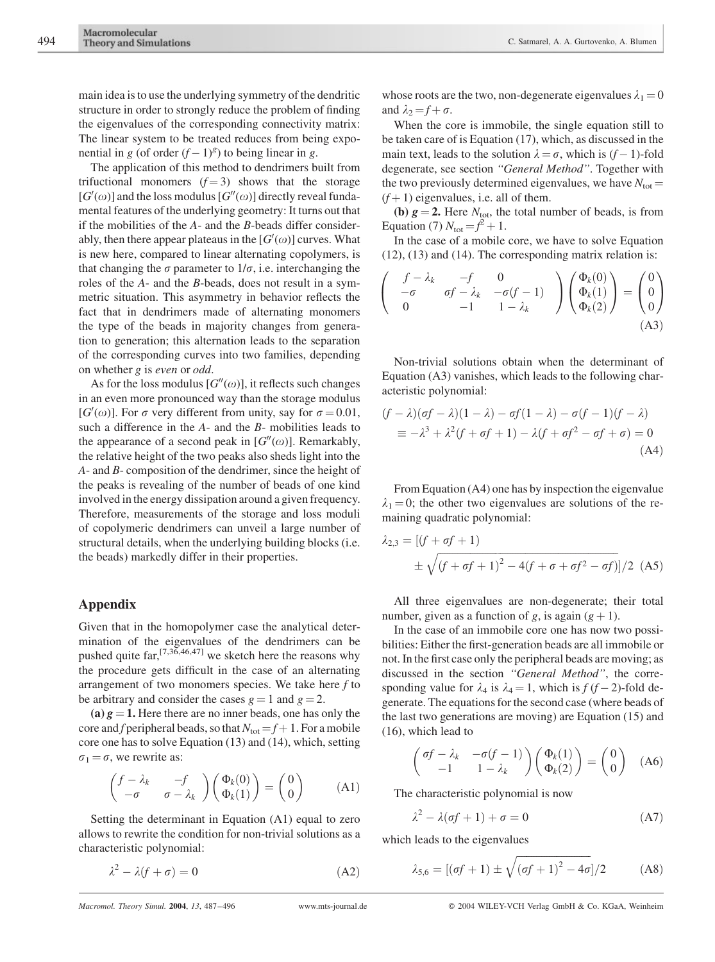main idea is to use the underlying symmetry of the dendritic structure in order to strongly reduce the problem of finding the eigenvalues of the corresponding connectivity matrix: The linear system to be treated reduces from being exponential in g (of order  $(f-1)^g$ ) to being linear in g.

The application of this method to dendrimers built from trifuctional monomers  $(f=3)$  shows that the storage  $[G'(\omega)]$  and the loss modulus  $[G''(\omega)]$  directly reveal fundamental features of the underlying geometry: It turns out that if the mobilities of the A- and the B-beads differ considerably, then there appear plateaus in the  $[G'(\omega)]$  curves. What is new here, compared to linear alternating copolymers, is that changing the  $\sigma$  parameter to  $1/\sigma$ , i.e. interchanging the roles of the A- and the B-beads, does not result in a symmetric situation. This asymmetry in behavior reflects the fact that in dendrimers made of alternating monomers the type of the beads in majority changes from generation to generation; this alternation leads to the separation of the corresponding curves into two families, depending on whether g is even or odd.

As for the loss modulus  $[G''(\omega)]$ , it reflects such changes in an even more pronounced way than the storage modulus [ $G'(\omega)$ ]. For  $\sigma$  very different from unity, say for  $\sigma = 0.01$ , such a difference in the A- and the B- mobilities leads to the appearance of a second peak in  $[G''(\omega)]$ . Remarkably, the relative height of the two peaks also sheds light into the A- and B- composition of the dendrimer, since the height of the peaks is revealing of the number of beads of one kind involved in the energy dissipation around a given frequency. Therefore, measurements of the storage and loss moduli of copolymeric dendrimers can unveil a large number of structural details, when the underlying building blocks (i.e. the beads) markedly differ in their properties.

#### Appendix

Given that in the homopolymer case the analytical determination of the eigenvalues of the dendrimers can be pushed quite far,  $[7,36,46,47]$  we sketch here the reasons why the procedure gets difficult in the case of an alternating arrangement of two monomers species. We take here  $f$  to be arbitrary and consider the cases  $g = 1$  and  $g = 2$ .

(a)  $g = 1$ . Here there are no inner beads, one has only the core and f peripheral beads, so that  $N_{\text{tot}} = f + 1$ . For a mobile core one has to solve Equation (13) and (14), which, setting  $\sigma_1 = \sigma$ , we rewrite as:

$$
\begin{pmatrix} f - \lambda_k & -f \\ -\sigma & \sigma - \lambda_k \end{pmatrix} \begin{pmatrix} \Phi_k(0) \\ \Phi_k(1) \end{pmatrix} = \begin{pmatrix} 0 \\ 0 \end{pmatrix} \tag{A1}
$$

Setting the determinant in Equation (A1) equal to zero allows to rewrite the condition for non-trivial solutions as a characteristic polynomial:

$$
\lambda^2 - \lambda(f + \sigma) = 0 \tag{A2}
$$

whose roots are the two, non-degenerate eigenvalues  $\lambda_1 = 0$ and  $\lambda_2 = f + \sigma$ .

When the core is immobile, the single equation still to be taken care of is Equation (17), which, as discussed in the main text, leads to the solution  $\lambda = \sigma$ , which is  $(f - 1)$ -fold degenerate, see section ''General Method''. Together with the two previously determined eigenvalues, we have  $N_{\text{tot}} =$  $(f+1)$  eigenvalues, i.e. all of them.

(b)  $g = 2$ . Here  $N_{\text{tot}}$ , the total number of beads, is from Equation (7)  $N_{\text{tot}} = f^2 + 1$ .

In the case of a mobile core, we have to solve Equation (12), (13) and (14). The corresponding matrix relation is:

$$
\begin{pmatrix}\nf - \lambda_k & -f & 0 \\
-\sigma & \sigma f - \lambda_k & -\sigma(f - 1) \\
0 & -1 & 1 - \lambda_k\n\end{pmatrix}\n\begin{pmatrix}\n\Phi_k(0) \\
\Phi_k(1) \\
\Phi_k(2)\n\end{pmatrix} = \begin{pmatrix}\n0 \\
0 \\
0\n\end{pmatrix}
$$
\n(A3)

Non-trivial solutions obtain when the determinant of Equation (A3) vanishes, which leads to the following characteristic polynomial:

$$
(f - \lambda)(\sigma f - \lambda)(1 - \lambda) - \sigma f(1 - \lambda) - \sigma (f - 1)(f - \lambda)
$$
  

$$
\equiv -\lambda^3 + \lambda^2 (f + \sigma f + 1) - \lambda (f + \sigma f^2 - \sigma f + \sigma) = 0
$$
(A4)

From Equation (A4) one has by inspection the eigenvalue  $\lambda_1 = 0$ ; the other two eigenvalues are solutions of the remaining quadratic polynomial:

$$
\lambda_{2,3} = \left[ (f + \sigma f + 1) \right]
$$
  
 
$$
\pm \sqrt{(f + \sigma f + 1)^2 - 4(f + \sigma + \sigma f^2 - \sigma f)} / 2
$$
 (A5)

All three eigenvalues are non-degenerate; their total number, given as a function of g, is again  $(g + 1)$ .

In the case of an immobile core one has now two possibilities: Either the first-generation beads are all immobile or not. In the first case only the peripheral beads are moving; as discussed in the section ''General Method'', the corresponding value for  $\lambda_4$  is  $\lambda_4 = 1$ , which is  $f(f - 2)$ -fold degenerate. The equations for the second case (where beads of the last two generations are moving) are Equation (15) and (16), which lead to

$$
\begin{pmatrix} \sigma f - \lambda_k & -\sigma(f-1) \\ -1 & 1 - \lambda_k \end{pmatrix} \begin{pmatrix} \Phi_k(1) \\ \Phi_k(2) \end{pmatrix} = \begin{pmatrix} 0 \\ 0 \end{pmatrix} \quad (A6)
$$

The characteristic polynomial is now

$$
\lambda^2 - \lambda(\sigma f + 1) + \sigma = 0 \tag{A7}
$$

which leads to the eigenvalues

$$
\lambda_{5,6} = [(\sigma f + 1) \pm \sqrt{(\sigma f + 1)^2 - 4\sigma}]/2
$$
 (A8)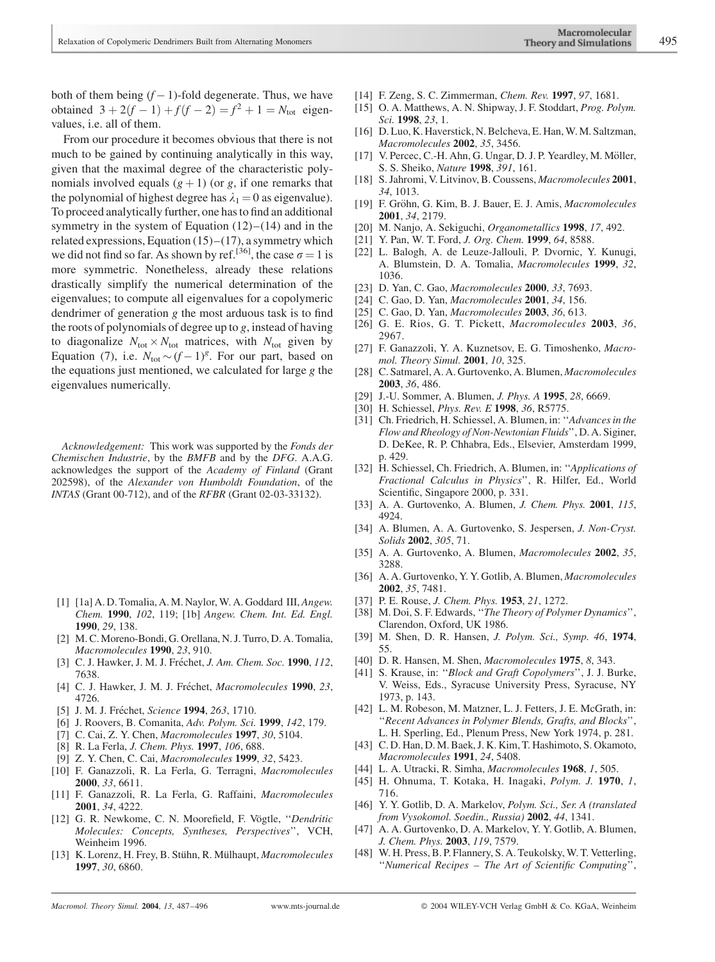both of them being  $(f - 1)$ -fold degenerate. Thus, we have obtained  $3 + 2(f - 1) + f(f - 2) = f^2 + 1 = N_{tot}$  eigenvalues, i.e. all of them.

From our procedure it becomes obvious that there is not much to be gained by continuing analytically in this way, given that the maximal degree of the characteristic polynomials involved equals  $(g + 1)$  (or g, if one remarks that the polynomial of highest degree has  $\lambda_1 = 0$  as eigenvalue). To proceed analytically further, one has to find an additional symmetry in the system of Equation  $(12)$ – $(14)$  and in the related expressions, Equation  $(15)$ – $(17)$ , a symmetry which we did not find so far. As shown by ref.<sup>[36]</sup>, the case  $\sigma = 1$  is more symmetric. Nonetheless, already these relations drastically simplify the numerical determination of the eigenvalues; to compute all eigenvalues for a copolymeric dendrimer of generation  $g$  the most arduous task is to find the roots of polynomials of degree up to  $g$ , instead of having to diagonalize  $N_{\text{tot}} \times N_{\text{tot}}$  matrices, with  $N_{\text{tot}}$  given by Equation (7), i.e.  $N_{\text{tot}} \sim (f - 1)^g$ . For our part, based on the equations just mentioned, we calculated for large g the eigenvalues numerically.

Acknowledgement: This work was supported by the Fonds der Chemischen Industrie, by the BMFB and by the DFG. A.A.G. acknowledges the support of the Academy of Finland (Grant 202598), of the Alexander von Humboldt Foundation, of the INTAS (Grant 00-712), and of the RFBR (Grant 02-03-33132).

- [1] [1a] A. D. Tomalia, A. M. Naylor, W. A. Goddard III, Angew. Chem. 1990, 102, 119; [1b] Angew. Chem. Int. Ed. Engl. 1990, 29, 138.
- [2] M. C. Moreno-Bondi, G. Orellana, N. J. Turro, D. A. Tomalia, Macromolecules 1990, 23, 910.
- [3] C. J. Hawker, J. M. J. Fréchet, *J. Am. Chem. Soc.* 1990, 112, 7638.
- [4] C. J. Hawker, J. M. J. Fréchet, Macromolecules 1990, 23, 4726.
- [5] J. M. J. Fréchet, Science 1994, 263, 1710.
- [6] J. Roovers, B. Comanita, Adv. Polym. Sci. 1999, 142, 179.
- [7] C. Cai, Z. Y. Chen, Macromolecules 1997, 30, 5104.
- [8] R. La Ferla, *J. Chem. Phys.* **1997**, 106, 688.
- [9] Z. Y. Chen, C. Cai, *Macromolecules* **1999**, 32, 5423.
- [10] F. Ganazzoli, R. La Ferla, G. Terragni, Macromolecules 2000, 33, 6611.
- [11] F. Ganazzoli, R. La Ferla, G. Raffaini, Macromolecules 2001, 34, 4222.
- [12] G. R. Newkome, C. N. Moorefield, F. Vögtle, "Dendritic Molecules: Concepts, Syntheses, Perspectives'', VCH, Weinheim 1996.
- [13] K. Lorenz, H. Frey, B. Stühn, R. Mülhaupt, Macromolecules 1997, 30, 6860.
- [14] F. Zeng, S. C. Zimmerman, *Chem. Rev.* **1997**, 97, 1681.
- [15] O. A. Matthews, A. N. Shipway, J. F. Stoddart, Prog. Polym. Sci. **1998**, 23, 1.
- [16] D. Luo, K. Haverstick, N. Belcheva, E. Han, W. M. Saltzman, Macromolecules 2002, 35, 3456.
- [17] V. Percec, C.-H. Ahn, G. Ungar, D. J. P. Yeardley, M. Möller, S. S. Sheiko, Nature 1998, 391, 161.
- [18] S. Jahromi, V. Litvinov, B. Coussens, Macromolecules 2001, 34, 1013.
- [19] F. Gröhn, G. Kim, B. J. Bauer, E. J. Amis, Macromolecules 2001, 34, 2179.
- [20] M. Nanjo, A. Sekiguchi, Organometallics 1998, 17, 492.
- [21] Y. Pan, W. T. Ford, J. Org. Chem. 1999, 64, 8588.
- [22] L. Balogh, A. de Leuze-Jallouli, P. Dvornic, Y. Kunugi, A. Blumstein, D. A. Tomalia, Macromolecules 1999, 32, 1036.
- [23] D. Yan, C. Gao, Macromolecules 2000, 33, 7693.
- [24] C. Gao, D. Yan, Macromolecules 2001, 34, 156.
- [25] C. Gao, D. Yan, *Macromolecules* **2003**, 36, 613.
- [26] G. E. Rios, G. T. Pickett, Macromolecules 2003, 36, 2967.
- [27] F. Ganazzoli, Y. A. Kuznetsov, E. G. Timoshenko, Macromol. Theory Simul. 2001, 10, 325.
- [28] C. Satmarel, A. A. Gurtovenko, A. Blumen, Macromolecules 2003, 36, 486.
- [29] J.-U. Sommer, A. Blumen, *J. Phys. A* **1995**, 28, 6669.
- [30] H. Schiessel, *Phys. Rev. E* 1998, 36, R5775.
- [31] Ch. Friedrich, H. Schiessel, A. Blumen, in: "Advances in the Flow and Rheology of Non-Newtonian Fluids'', D. A. Siginer, D. DeKee, R. P. Chhabra, Eds., Elsevier, Amsterdam 1999, p. 429.
- [32] H. Schiessel, Ch. Friedrich, A. Blumen, in: "Applications of Fractional Calculus in Physics'', R. Hilfer, Ed., World Scientific, Singapore 2000, p. 331.
- [33] A. A. Gurtovenko, A. Blumen, *J. Chem. Phys.* **2001**, *115*, 4924.
- [34] A. Blumen, A. A. Gurtovenko, S. Jespersen, *J. Non-Cryst.* Solids 2002, 305, 71.
- [35] A. A. Gurtovenko, A. Blumen, *Macromolecules* **2002**, 35, 3288.
- [36] A. A. Gurtovenko, Y. Y. Gotlib, A. Blumen, Macromolecules 2002, 35, 7481.
- [37] P. E. Rouse, J. Chem. Phys. 1953, 21, 1272.
- [38] M. Doi, S. F. Edwards, "The Theory of Polymer Dynamics", Clarendon, Oxford, UK 1986.
- [39] M. Shen, D. R. Hansen, J. Polym. Sci., Symp. 46, 1974, 55.
- [40] D. R. Hansen, M. Shen, Macromolecules 1975, 8, 343.
- [41] S. Krause, in: "Block and Graft Copolymers", J. J. Burke, V. Weiss, Eds., Syracuse University Press, Syracuse, NY 1973, p. 143.
- [42] L. M. Robeson, M. Matzner, L. J. Fetters, J. E. McGrath, in: ''Recent Advances in Polymer Blends, Grafts, and Blocks'', L. H. Sperling, Ed., Plenum Press, New York 1974, p. 281.
- [43] C. D. Han, D. M. Baek, J. K. Kim, T. Hashimoto, S. Okamoto, Macromolecules 1991, 24, 5408.
- [44] L. A. Utracki, R. Simha, Macromolecules 1968, 1, 505.
- [45] H. Ohnuma, T. Kotaka, H. Inagaki, Polym. J. 1970, 1, 716.
- [46] Y. Y. Gotlib, D. A. Markelov, Polym. Sci., Ser. A (translated from Vysokomol. Soedin., Russia) 2002, 44, 1341.
- [47] A. A. Gurtovenko, D. A. Markelov, Y. Y. Gotlib, A. Blumen, J. Chem. Phys. 2003, 119, 7579.
- [48] W. H. Press, B. P. Flannery, S. A. Teukolsky, W. T. Vetterling, ''Numerical Recipes – The Art of Scientific Computing'',